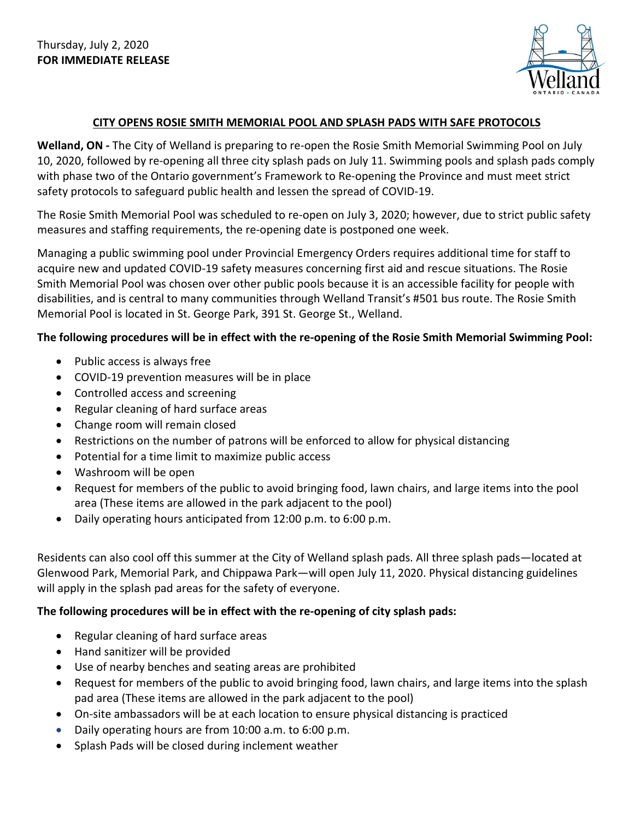

## **CITY OPENS ROSIE SMITH MEMORIAL POOL AND SPLASH PADS WITH SAFE PROTOCOLS**

**Welland, ON -** The City of Welland is preparing to re-open the Rosie Smith Memorial Swimming Pool on July 10, 2020, followed by re-opening all three city splash pads on July 11. Swimming pools and splash pads comply with phase two of the Ontario government's Framework to Re-opening the Province and must meet strict safety protocols to safeguard public health and lessen the spread of COVID-19.

The Rosie Smith Memorial Pool was scheduled to re-open on July 3, 2020; however, due to strict public safety measures and staffing requirements, the re-opening date is postponed one week.

Managing a public swimming pool under Provincial Emergency Orders requires additional time for staff to acquire new and updated COVID-19 safety measures concerning first aid and rescue situations. The Rosie Smith Memorial Pool was chosen over other public pools because it is an accessible facility for people with disabilities, and is central to many communities through Welland Transit's #501 bus route. The Rosie Smith Memorial Pool is located in St. George Park, 391 St. George St., Welland.

## **The following procedures will be in effect with the re-opening of the Rosie Smith Memorial Swimming Pool:**

- Public access is always free
- COVID-19 prevention measures will be in place
- Controlled access and screening
- Regular cleaning of hard surface areas
- Change room will remain closed
- Restrictions on the number of patrons will be enforced to allow for physical distancing
- Potential for a time limit to maximize public access
- Washroom will be open
- Request for members of the public to avoid bringing food, lawn chairs, and large items into the pool area (These items are allowed in the park adjacent to the pool)
- Daily operating hours anticipated from 12:00 p.m. to 6:00 p.m.

Residents can also cool off this summer at the City of Welland splash pads. All three splash pads—located at Glenwood Park, Memorial Park, and Chippawa Park—will open July 11, 2020. Physical distancing guidelines will apply in the splash pad areas for the safety of everyone.

## **The following procedures will be in effect with the re-opening of city splash pads:**

- Regular cleaning of hard surface areas
- Hand sanitizer will be provided
- Use of nearby benches and seating areas are prohibited
- Request for members of the public to avoid bringing food, lawn chairs, and large items into the splash pad area (These items are allowed in the park adjacent to the pool)
- On-site ambassadors will be at each location to ensure physical distancing is practiced
- Daily operating hours are from 10:00 a.m. to 6:00 p.m.
- Splash Pads will be closed during inclement weather